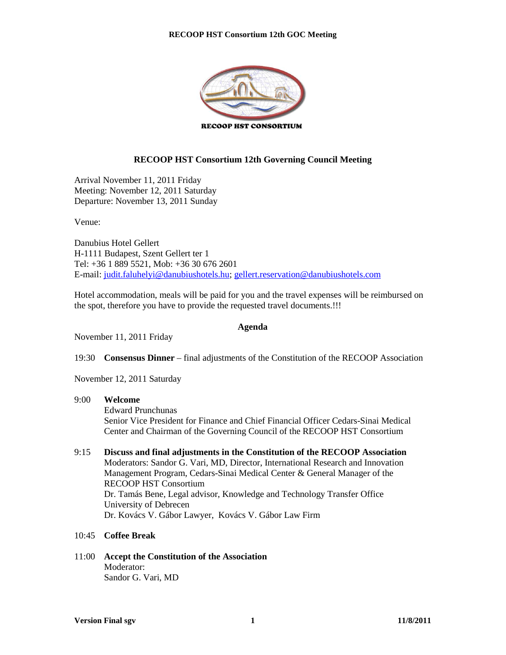

#### **RECOOP HST Consortium 12th Governing Council Meeting**

Arrival November 11, 2011 Friday Meeting: November 12, 2011 Saturday Departure: November 13, 2011 Sunday

Venue:

Danubius Hotel Gellert H-1111 Budapest, Szent Gellert ter 1 Tel: +36 1 889 5521, Mob: +36 30 676 2601 E-mail: judit.faluhelyi@danubiushotels.hu; gellert.reservation@danubiushotels.com

Hotel accommodation, meals will be paid for you and the travel expenses will be reimbursed on the spot, therefore you have to provide the requested travel documents.!!!

#### **Agenda**

November 11, 2011 Friday

19:30 **Consensus Dinner** – final adjustments of the Constitution of the RECOOP Association

November 12, 2011 Saturday

#### 9:00 **Welcome**

Edward Prunchunas

Senior Vice President for Finance and Chief Financial Officer Cedars-Sinai Medical Center and Chairman of the Governing Council of the RECOOP HST Consortium

- 9:15 **Discuss and final adjustments in the Constitution of the RECOOP Association** Moderators: Sandor G. Vari, MD, Director, International Research and Innovation Management Program, Cedars-Sinai Medical Center & General Manager of the RECOOP HST Consortium Dr. Tamás Bene, Legal advisor, Knowledge and Technology Transfer Office University of Debrecen Dr. Kovács V. Gábor Lawyer, Kovács V. Gábor Law Firm
- 10:45 **Coffee Break**
- 11:00 **Accept the Constitution of the Association** Moderator: Sandor G. Vari, MD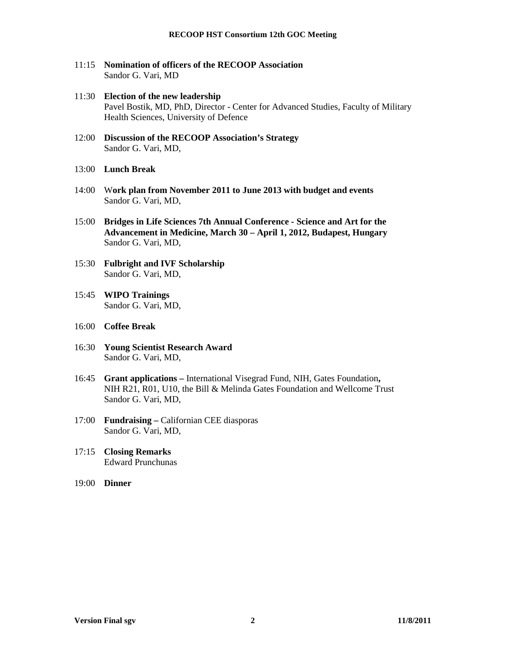- 11:15 **Nomination of officers of the RECOOP Association**  Sandor G. Vari, MD
- 11:30 **Election of the new leadership**  Pavel Bostik, MD, PhD, Director - Center for Advanced Studies, Faculty of Military Health Sciences, University of Defence
- 12:00 **Discussion of the RECOOP Association's Strategy** Sandor G. Vari, MD,
- 13:00 **Lunch Break**
- 14:00 W**ork plan from November 2011 to June 2013 with budget and events** Sandor G. Vari, MD,
- 15:00 **Bridges in Life Sciences 7th Annual Conference Science and Art for the Advancement in Medicine, March 30 – April 1, 2012, Budapest, Hungary**  Sandor G. Vari, MD,
- 15:30 **Fulbright and IVF Scholarship** Sandor G. Vari, MD,
- 15:45 **WIPO Trainings** Sandor G. Vari, MD,
- 16:00 **Coffee Break**
- 16:30 **Young Scientist Research Award** Sandor G. Vari, MD,
- 16:45 **Grant applications** International Visegrad Fund, NIH, Gates Foundation**,**  NIH R21, R01, U10, the Bill & Melinda Gates Foundation and Wellcome Trust Sandor G. Vari, MD,
- 17:00 **Fundraising** Californian CEE diasporas Sandor G. Vari, MD,
- 17:15 **Closing Remarks** Edward Prunchunas
- 19:00 **Dinner**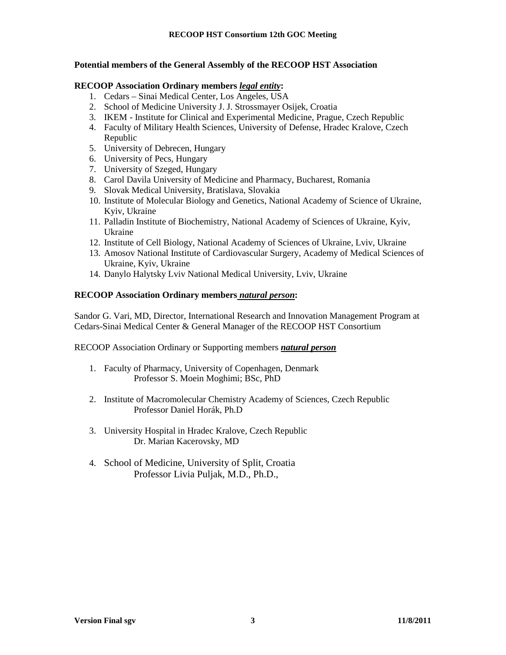#### **Potential members of the General Assembly of the RECOOP HST Association**

#### **RECOOP Association Ordinary members** *legal entity***:**

- 1. Cedars Sinai Medical Center, Los Angeles, USA
- 2. School of Medicine University J. J. Strossmayer Osijek, Croatia
- 3. IKEM Institute for Clinical and Experimental Medicine, Prague, Czech Republic
- 4. Faculty of Military Health Sciences, University of Defense, Hradec Kralove, Czech Republic
- 5. University of Debrecen, Hungary
- 6. University of Pecs, Hungary
- 7. University of Szeged, Hungary
- 8. Carol Davila University of Medicine and Pharmacy, Bucharest, Romania
- 9. Slovak Medical University, Bratislava, Slovakia
- 10. Institute of Molecular Biology and Genetics, National Academy of Science of Ukraine, Kyiv, Ukraine
- 11. Palladin Institute of Biochemistry, National Academy of Sciences of Ukraine, Kyiv, Ukraine
- 12. Institute of Cell Biology, National Academy of Sciences of Ukraine, Lviv, Ukraine
- 13. Amosov National Institute of Cardiovascular Surgery, Academy of Medical Sciences of Ukraine, Kyiv, Ukraine
- 14. Danylo Halytsky Lviv National Medical University, Lviv, Ukraine

#### **RECOOP Association Ordinary members** *natural person***:**

Sandor G. Vari, MD, Director, International Research and Innovation Management Program at Cedars-Sinai Medical Center & General Manager of the RECOOP HST Consortium

RECOOP Association Ordinary or Supporting members *natural person*

- 1. Faculty of Pharmacy, University of Copenhagen, Denmark Professor S. Moein Moghimi; BSc, PhD
- 2. Institute of Macromolecular Chemistry Academy of Sciences, Czech Republic Professor Daniel Horák, Ph.D
- 3. University Hospital in Hradec Kralove, Czech Republic Dr. Marian Kacerovsky, MD
- 4. School of Medicine, University of Split, Croatia Professor Livia Puljak, M.D., Ph.D.,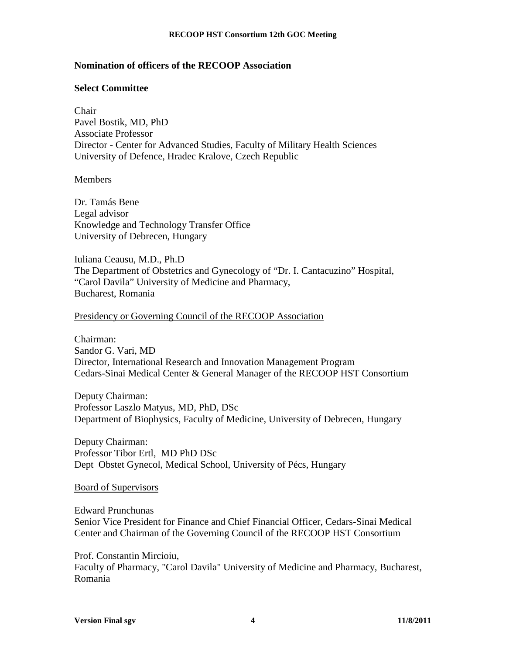# **Nomination of officers of the RECOOP Association**

### **Select Committee**

Chair Pavel Bostik, MD, PhD Associate Professor Director - Center for Advanced Studies, Faculty of Military Health Sciences University of Defence, Hradec Kralove, Czech Republic

**Members** 

Dr. Tamás Bene Legal advisor Knowledge and Technology Transfer Office University of Debrecen, Hungary

Iuliana Ceausu, M.D., Ph.D The Department of Obstetrics and Gynecology of "Dr. I. Cantacuzino" Hospital, "Carol Davila" University of Medicine and Pharmacy, Bucharest, Romania

### Presidency or Governing Council of the RECOOP Association

Chairman: Sandor G. Vari, MD Director, International Research and Innovation Management Program Cedars-Sinai Medical Center & General Manager of the RECOOP HST Consortium

Deputy Chairman: Professor Laszlo Matyus, MD, PhD, DSc Department of Biophysics, Faculty of Medicine, University of Debrecen, Hungary

Deputy Chairman: Professor Tibor Ertl, MD PhD DSc Dept Obstet Gynecol, Medical School, University of Pécs, Hungary

#### Board of Supervisors

Edward Prunchunas Senior Vice President for Finance and Chief Financial Officer, Cedars-Sinai Medical Center and Chairman of the Governing Council of the RECOOP HST Consortium

Prof. Constantin Mircioiu, Faculty of Pharmacy, "Carol Davila" University of Medicine and Pharmacy, Bucharest, Romania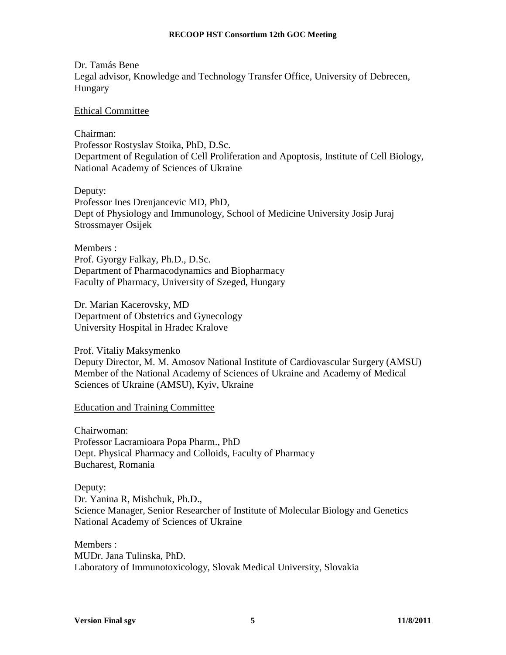#### **RECOOP HST Consortium 12th GOC Meeting**

Dr. Tamás Bene Legal advisor, Knowledge and Technology Transfer Office, University of Debrecen, Hungary

#### Ethical Committee

Chairman:

Professor Rostyslav Stoika, PhD, D.Sc. Department of Regulation of Cell Proliferation and Apoptosis, Institute of Cell Biology, National Academy of Sciences of Ukraine

Deputy:

Professor Ines Drenjancevic MD, PhD, Dept of Physiology and Immunology, School of Medicine University Josip Juraj Strossmayer Osijek

Members : Prof. Gyorgy Falkay, Ph.D., D.Sc. Department of Pharmacodynamics and Biopharmacy Faculty of Pharmacy, University of Szeged, Hungary

Dr. Marian Kacerovsky, MD Department of Obstetrics and Gynecology University Hospital in Hradec Kralove

Prof. Vitaliy Maksymenko Deputy Director, M. M. Amosov National Institute of Cardiovascular Surgery (AMSU) Member of the National Academy of Sciences of Ukraine and Academy of Medical Sciences of Ukraine (AMSU), Kyiv, Ukraine

Education and Training Committee

Chairwoman: Professor Lacramioara Popa Pharm., PhD Dept. Physical Pharmacy and Colloids, Faculty of Pharmacy Bucharest, Romania

Deputy: Dr. Yanina R, Mishchuk, Ph.D., Science Manager, Senior Researcher of Institute of Molecular Biology and Genetics National Academy of Sciences of Ukraine

Members : MUDr. Jana Tulinska, PhD. Laboratory of Immunotoxicology, Slovak Medical University, Slovakia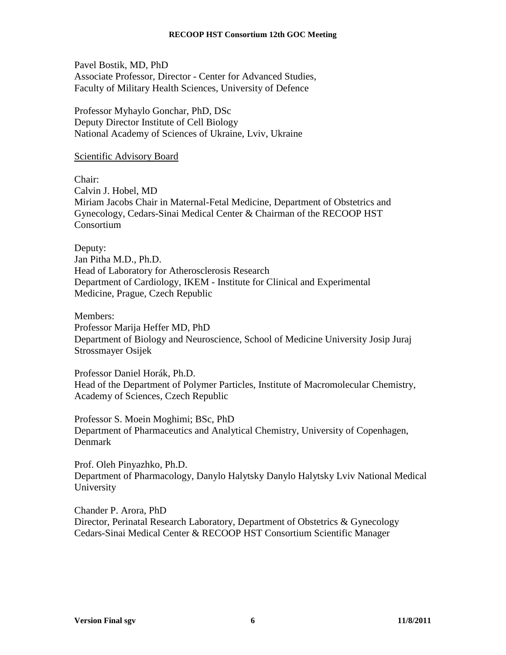Pavel Bostik, MD, PhD Associate Professor, Director - Center for Advanced Studies, Faculty of Military Health Sciences, University of Defence

Professor Myhaylo Gonchar, PhD, DSc Deputy Director Institute of Cell Biology National Academy of Sciences of Ukraine, Lviv, Ukraine

### Scientific Advisory Board

Chair:

Calvin J. Hobel, MD Miriam Jacobs Chair in Maternal-Fetal Medicine, Department of Obstetrics and Gynecology, Cedars-Sinai Medical Center & Chairman of the RECOOP HST Consortium

Deputy: Jan Pitha M.D., Ph.D. Head of Laboratory for Atherosclerosis Research Department of Cardiology, IKEM - Institute for Clinical and Experimental Medicine, Prague, Czech Republic

Members: Professor Marija Heffer MD, PhD Department of Biology and Neuroscience, School of Medicine University Josip Juraj Strossmayer Osijek

Professor Daniel Horák, Ph.D. Head of the Department of Polymer Particles, Institute of Macromolecular Chemistry, Academy of Sciences, Czech Republic

Professor S. Moein Moghimi; BSc, PhD Department of Pharmaceutics and Analytical Chemistry, University of Copenhagen, Denmark

Prof. Oleh Pinyazhko, Ph.D. Department of Pharmacology, Danylo Halytsky Danylo Halytsky Lviv National Medical University

Chander P. Arora, PhD Director, Perinatal Research Laboratory, Department of Obstetrics & Gynecology Cedars-Sinai Medical Center & RECOOP HST Consortium Scientific Manager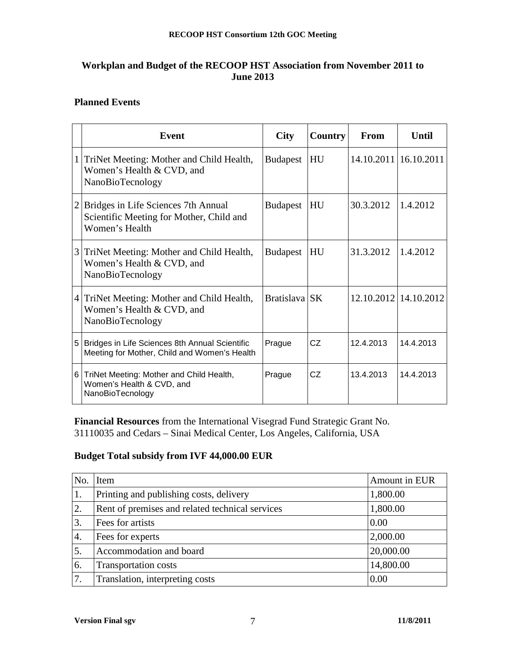# **Workplan and Budget of the RECOOP HST Association from November 2011 to June 2013**

# **Planned Events**

|                | <b>Event</b>                                                                                      | <b>City</b>     | Country | <b>From</b> | <b>Until</b>            |
|----------------|---------------------------------------------------------------------------------------------------|-----------------|---------|-------------|-------------------------|
|                | TriNet Meeting: Mother and Child Health,<br>Women's Health & CVD, and<br>NanoBioTecnology         | <b>Budapest</b> | HU      |             | 14.10.2011   16.10.2011 |
| $\overline{2}$ | Bridges in Life Sciences 7th Annual<br>Scientific Meeting for Mother, Child and<br>Women's Health | <b>Budapest</b> | HU      | 30.3.2012   | 1.4.2012                |
| 3              | TriNet Meeting: Mother and Child Health,<br>Women's Health & CVD, and<br>NanoBioTecnology         | <b>Budapest</b> | HU      | 31.3.2012   | 1.4.2012                |
| $\overline{4}$ | TriNet Meeting: Mother and Child Health,<br>Women's Health & CVD, and<br>NanoBioTecnology         | Bratislava SK   |         |             | 12.10.2012 14.10.2012   |
| 5              | Bridges in Life Sciences 8th Annual Scientific<br>Meeting for Mother, Child and Women's Health    | Prague          | CZ      | 12.4.2013   | 14.4.2013               |
| 6              | TriNet Meeting: Mother and Child Health,<br>Women's Health & CVD, and<br>NanoBioTecnology         | Prague          | CZ      | 13.4.2013   | 14.4.2013               |

**Financial Resources** from the International Visegrad Fund Strategic Grant No. 31110035 and Cedars – Sinai Medical Center, Los Angeles, California, USA

# **Budget Total subsidy from IVF 44,000.00 EUR**

| No.              | Item                                            | Amount in EUR |
|------------------|-------------------------------------------------|---------------|
| 1.               | Printing and publishing costs, delivery         | 1,800.00      |
| 2.               | Rent of premises and related technical services | 1,800.00      |
| 3.               | Fees for artists                                | 0.00          |
| $\overline{4}$ . | Fees for experts                                | 2,000.00      |
| 5.               | Accommodation and board                         | 20,000.00     |
| 6.               | <b>Transportation costs</b>                     | 14,800.00     |
| 7.               | Translation, interpreting costs                 | 0.00          |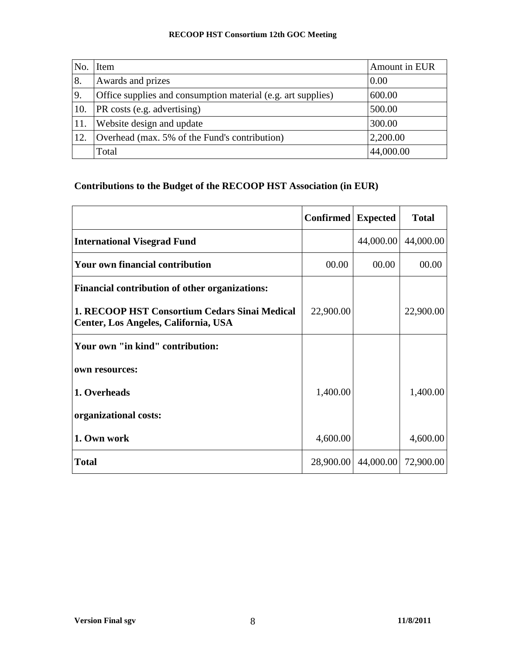# **RECOOP HST Consortium 12th GOC Meeting**

| No. | Item                                                         | Amount in EUR |
|-----|--------------------------------------------------------------|---------------|
| 8.  | Awards and prizes                                            | 0.00          |
| 9.  | Office supplies and consumption material (e.g. art supplies) | 600.00        |
| 10. | PR costs (e.g. advertising)                                  | 500.00        |
| 11. | Website design and update                                    | 300.00        |
| 12. | Overhead (max. 5% of the Fund's contribution)                | 2,200.00      |
|     | Total                                                        | 44,000.00     |

# **Contributions to the Budget of the RECOOP HST Association (in EUR)**

|                                                                                       | Confirmed | <b>Expected</b> | <b>Total</b> |
|---------------------------------------------------------------------------------------|-----------|-----------------|--------------|
| <b>International Visegrad Fund</b>                                                    |           | 44,000.00       | 44,000.00    |
| <b>Your own financial contribution</b>                                                | 00.00     | 00.00           | 00.00        |
| <b>Financial contribution of other organizations:</b>                                 |           |                 |              |
| 1. RECOOP HST Consortium Cedars Sinai Medical<br>Center, Los Angeles, California, USA | 22,900.00 |                 | 22,900.00    |
| Your own "in kind" contribution:                                                      |           |                 |              |
| own resources:                                                                        |           |                 |              |
| 1. Overheads                                                                          | 1,400.00  |                 | 1,400.00     |
| organizational costs:                                                                 |           |                 |              |
| 1. Own work                                                                           | 4,600.00  |                 | 4,600.00     |
| <b>Total</b>                                                                          | 28,900.00 | 44,000.00       | 72,900.00    |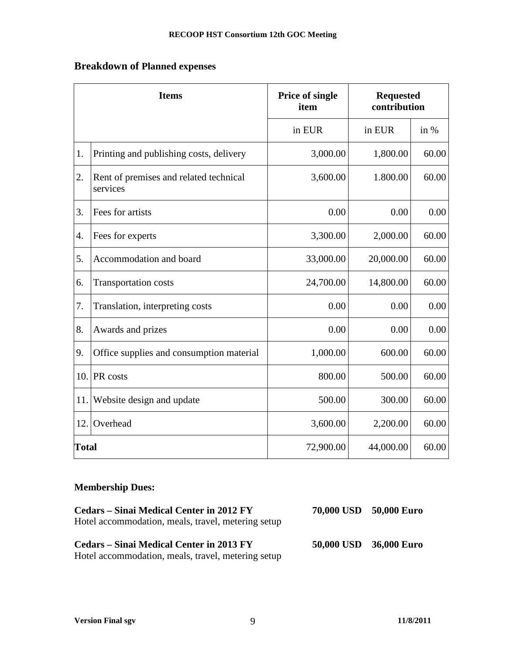# **Breakdown of Planned expenses**

| <b>Items</b>  |                                                    | <b>Price of single</b><br><b>Requested</b><br>contribution<br>item |           |        |
|---------------|----------------------------------------------------|--------------------------------------------------------------------|-----------|--------|
|               |                                                    | in EUR                                                             | in EUR    | in $%$ |
| 1.            | Printing and publishing costs, delivery            | 3,000.00                                                           | 1,800.00  | 60.00  |
| 2.            | Rent of premises and related technical<br>services | 3,600.00                                                           | 1.800.00  | 60.00  |
| 3.            | Fees for artists                                   | 0.00                                                               | 0.00      | 0.00   |
| $\mathbf 4$ . | Fees for experts                                   | 3,300.00                                                           | 2,000.00  | 60.00  |
| 5.            | Accommodation and board                            | 33,000.00                                                          | 20,000.00 | 60.00  |
| 6.            | <b>Transportation costs</b>                        | 24,700.00                                                          | 14,800.00 | 60.00  |
| 7.            | Translation, interpreting costs                    | 0.00                                                               | 0.00      | 0.00   |
| 8.            | Awards and prizes                                  | 0.00                                                               | 0.00      | 0.00   |
| 9.            | Office supplies and consumption material           | 1,000.00                                                           | 600.00    | 60.00  |
| 10.           | PR costs                                           | 800.00                                                             | 500.00    | 60.00  |
| 11.           | Website design and update                          | 500.00                                                             | 300.00    | 60.00  |
| 12.           | Overhead                                           | 3,600.00                                                           | 2,200.00  | 60.00  |
| <b>Total</b>  |                                                    | 72,900.00                                                          | 44,000.00 | 60.00  |

# **Membership Dues:**

| Cedars – Sinai Medical Center in 2012 FY<br>Hotel accommodation, meals, travel, metering setup | 70,000 USD 50,000 Euro |  |
|------------------------------------------------------------------------------------------------|------------------------|--|
| Cedars – Sinai Medical Center in 2013 FY<br>Hotel accommodation, meals, travel, metering setup | 50,000 USD 36,000 Euro |  |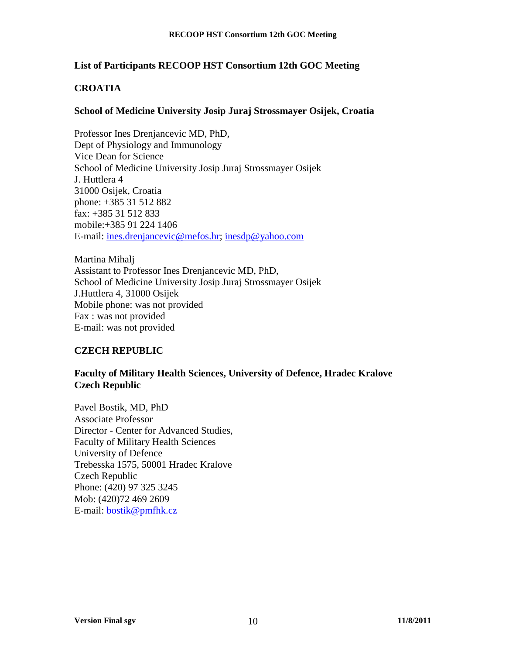# **List of Participants RECOOP HST Consortium 12th GOC Meeting**

# **CROATIA**

## **School of Medicine University Josip Juraj Strossmayer Osijek, Croatia**

Professor Ines Drenjancevic MD, PhD, Dept of Physiology and Immunology Vice Dean for Science School of Medicine University Josip Juraj Strossmayer Osijek J. Huttlera 4 31000 Osijek, Croatia phone: +385 31 512 882 fax: +385 31 512 833 mobile:+385 91 224 1406 E-mail: ines.drenjancevic@mefos.hr; inesdp@yahoo.com

Martina Mihalj Assistant to Professor Ines Drenjancevic MD, PhD, School of Medicine University Josip Juraj Strossmayer Osijek J.Huttlera 4, 31000 Osijek Mobile phone: was not provided Fax : was not provided E-mail: was not provided

# **CZECH REPUBLIC**

## **Faculty of Military Health Sciences, University of Defence, Hradec Kralove Czech Republic**

Pavel Bostik, MD, PhD Associate Professor Director - Center for Advanced Studies, Faculty of Military Health Sciences University of Defence Trebesska 1575, 50001 Hradec Kralove Czech Republic Phone: (420) 97 325 3245 Mob: (420)72 469 2609 E-mail: bostik@pmfhk.cz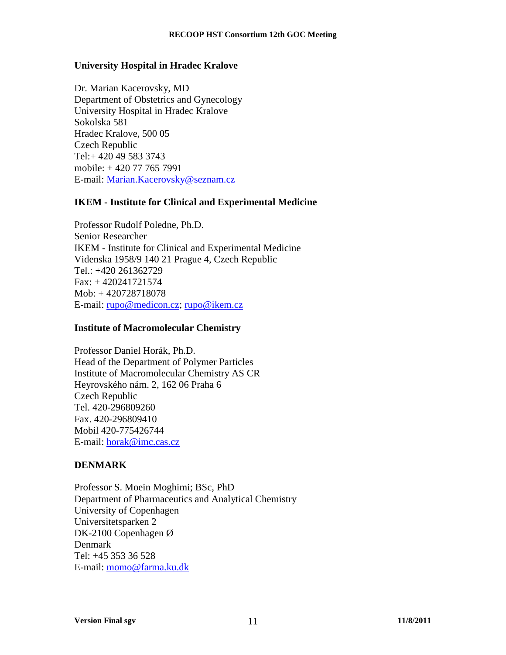# **University Hospital in Hradec Kralove**

Dr. Marian Kacerovsky, MD Department of Obstetrics and Gynecology University Hospital in Hradec Kralove Sokolska 581 Hradec Kralove, 500 05 Czech Republic Tel:+ 420 49 583 3743 mobile: + 420 77 765 7991 E-mail: Marian.Kacerovsky@seznam.cz

# **IKEM - Institute for Clinical and Experimental Medicine**

Professor Rudolf Poledne, Ph.D. Senior Researcher IKEM - Institute for Clinical and Experimental Medicine Videnska 1958/9 140 21 Prague 4, Czech Republic Tel.: +420 261362729 Fax: + 420241721574 Mob: + 420728718078 E-mail: rupo@medicon.cz; rupo@ikem.cz

### **Institute of Macromolecular Chemistry**

Professor Daniel Horák, Ph.D. Head of the Department of Polymer Particles Institute of Macromolecular Chemistry AS CR Heyrovského nám. 2, 162 06 Praha 6 Czech Republic Tel. 420-296809260 Fax. 420-296809410 Mobil 420-775426744 E-mail: horak@imc.cas.cz

# **DENMARK**

Professor S. Moein Moghimi; BSc, PhD Department of Pharmaceutics and Analytical Chemistry University of Copenhagen Universitetsparken 2 DK-2100 Copenhagen Ø Denmark Tel: +45 353 36 528 E-mail: momo@farma.ku.dk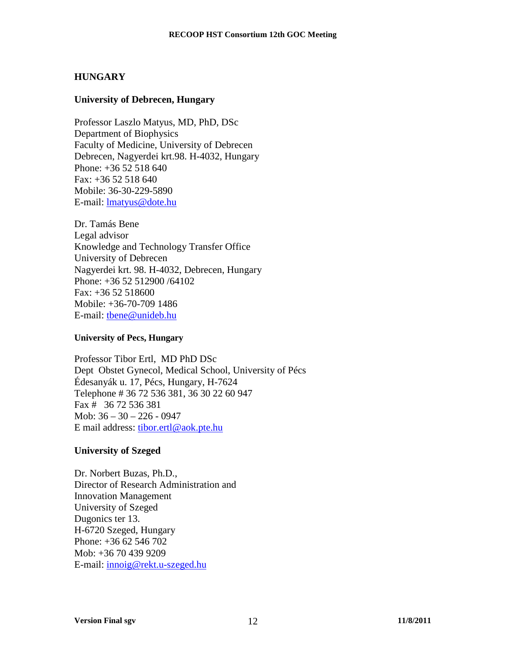## **HUNGARY**

#### **University of Debrecen, Hungary**

Professor Laszlo Matyus, MD, PhD, DSc Department of Biophysics Faculty of Medicine, University of Debrecen Debrecen, Nagyerdei krt.98. H-4032, Hungary Phone: +36 52 518 640  $Fax: +3652518640$ Mobile: 36-30-229-5890 E-mail: lmatyus@dote.hu

Dr. Tamás Bene Legal advisor Knowledge and Technology Transfer Office University of Debrecen Nagyerdei krt. 98. H-4032, Debrecen, Hungary Phone: +36 52 512900 /64102 Fax: +36 52 518600 Mobile: +36-70-709 1486 E-mail: tbene@unideb.hu

#### **University of Pecs, Hungary**

Professor Tibor Ertl, MD PhD DSc Dept Obstet Gynecol, Medical School, University of Pécs Édesanyák u. 17, Pécs, Hungary, H-7624 Telephone # 36 72 536 381, 36 30 22 60 947 Fax # 36 72 536 381 Mob: 36 – 30 – 226 - 0947 E mail address: tibor.ertl@aok.pte.hu

### **University of Szeged**

Dr. Norbert Buzas, Ph.D., Director of Research Administration and Innovation Management University of Szeged Dugonics ter 13. H-6720 Szeged, Hungary Phone: +36 62 546 702 Mob: +36 70 439 9209 E-mail: innoig@rekt.u-szeged.hu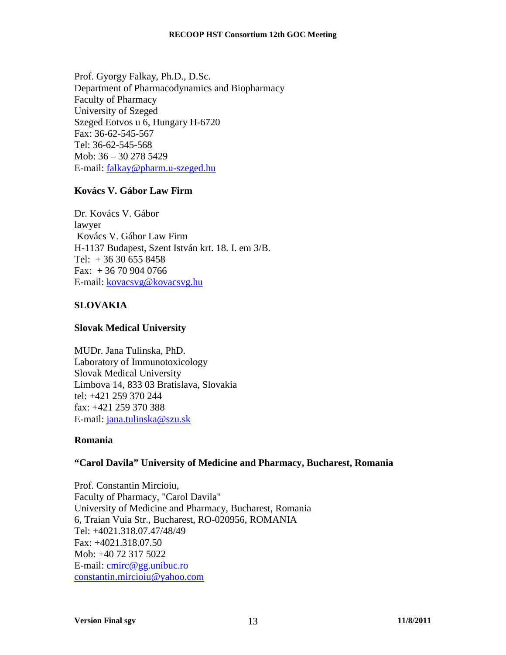Prof. Gyorgy Falkay, Ph.D., D.Sc. Department of Pharmacodynamics and Biopharmacy Faculty of Pharmacy University of Szeged Szeged Eotvos u 6, Hungary H-6720 Fax: 36-62-545-567 Tel: 36-62-545-568 Mob: 36 – 30 278 5429 E-mail: falkay@pharm.u-szeged.hu

# **Kovács V. Gábor Law Firm**

Dr. Kovács V. Gábor lawyer Kovács V. Gábor Law Firm H-1137 Budapest, Szent István krt. 18. I. em 3/B. Tel:  $+36306558458$ Fax: + 36 70 904 0766 E-mail: kovacsvg@kovacsvg.hu

# **SLOVAKIA**

# **Slovak Medical University**

MUDr. Jana Tulinska, PhD. Laboratory of Immunotoxicology Slovak Medical University Limbova 14, 833 03 Bratislava, Slovakia tel: +421 259 370 244 fax: +421 259 370 388 E-mail: jana.tulinska@szu.sk

# **Romania**

### **"Carol Davila" University of Medicine and Pharmacy, Bucharest, Romania**

Prof. Constantin Mircioiu, Faculty of Pharmacy, "Carol Davila" University of Medicine and Pharmacy, Bucharest, Romania 6, Traian Vuia Str., Bucharest, RO-020956, ROMANIA Tel: +4021.318.07.47/48/49 Fax: +4021.318.07.50 Mob: +40 72 317 5022 E-mail: cmirc@gg.unibuc.ro constantin.mircioiu@yahoo.com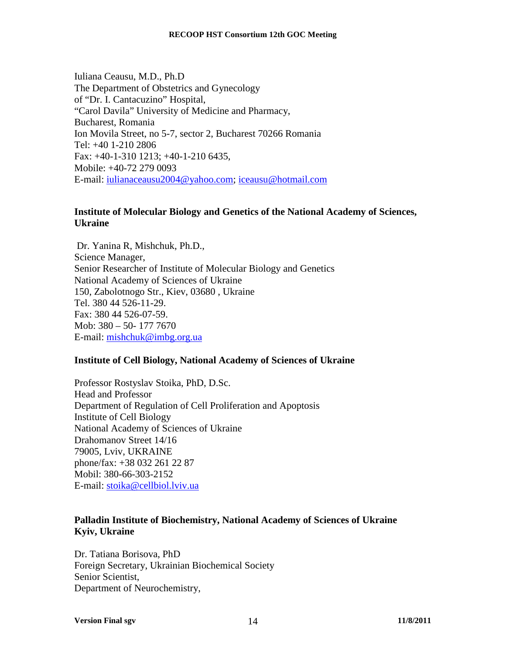Iuliana Ceausu, M.D., Ph.D The Department of Obstetrics and Gynecology of "Dr. I. Cantacuzino" Hospital, "Carol Davila" University of Medicine and Pharmacy, Bucharest, Romania Ion Movila Street, no 5-7, sector 2, Bucharest 70266 Romania Tel: +40 1-210 2806 Fax: +40-1-310 1213; +40-1-210 6435, Mobile: +40-72 279 0093 E-mail: iulianaceausu2004@yahoo.com; iceausu@hotmail.com

## **Institute of Molecular Biology and Genetics of the National Academy of Sciences, Ukraine**

 Dr. Yanina R, Mishchuk, Ph.D., Science Manager, Senior Researcher of Institute of Molecular Biology and Genetics National Academy of Sciences of Ukraine 150, Zabоlotnogo Str., Kiev, 03680 , Ukraine Tel. 380 44 526-11-29. Fax: 380 44 526-07-59. Mob: 380 – 50- 177 7670 E-mail: mishchuk@imbg.org.ua

# **Institute of Cell Biology, National Academy of Sciences of Ukraine**

Professor Rostyslav Stoika, PhD, D.Sc. Head and Professor Department of Regulation of Cell Proliferation and Apoptosis Institute of Cell Biology National Academy of Sciences of Ukraine Drahomanov Street 14/16 79005, Lviv, UKRAINE phone/fax: +38 032 261 22 87 Mobil: 380-66-303-2152 E-mail: stoika@cellbiol.lviv.ua

# **Palladin Institute of Biochemistry, National Academy of Sciences of Ukraine Kyiv, Ukraine**

Dr. Tatiana Borisova, PhD Foreign Secretary, Ukrainian Biochemical Society Senior Scientist, Department of Neurochemistry,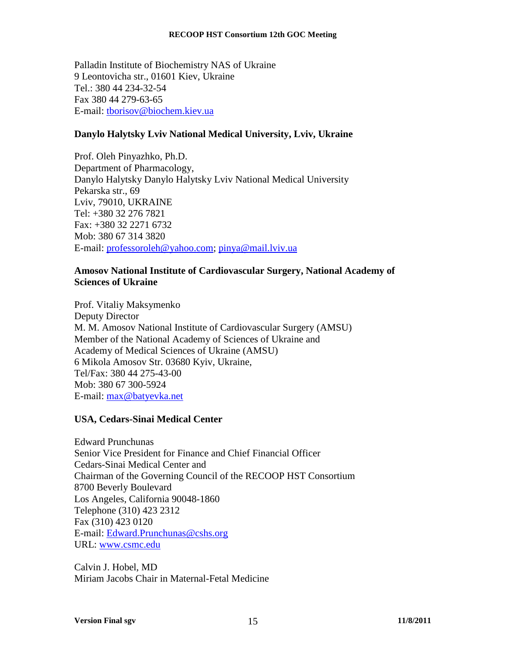Palladin Institute of Biochemistry NAS of Ukraine 9 Leontovicha str., 01601 Kiev, Ukraine Tel.: 380 44 234-32-54 Fax 380 44 279-63-65 E-mail: tborisov@biochem.kiev.ua

# **Danylo Halytsky Lviv National Medical University, Lviv, Ukraine**

Prof. Oleh Pinyazhko, Ph.D. Department of Pharmacology, Danylo Halytsky Danylo Halytsky Lviv National Medical University Pekarska str., 69 Lviv, 79010, UKRAINE Tel: +380 32 276 7821 Fax: +380 32 2271 6732 Mob: 380 67 314 3820 E-mail: professoroleh@yahoo.com; pinya@mail.lviv.ua

# **Amosov National Institute of Cardiovascular Surgery, National Academy of Sciences of Ukraine**

Prof. Vitaliy Maksymenko Deputy Director M. M. Amosov National Institute of Cardiovascular Surgery (AMSU) Member of the National Academy of Sciences of Ukraine and Academy of Medical Sciences of Ukraine (AMSU) 6 Mikola Amosov Str. 03680 Kyiv, Ukraine, Tel/Fax: 380 44 275-43-00 Mob: 380 67 300-5924 E-mail: max@batyevka.net

# **USA, Cedars-Sinai Medical Center**

Edward Prunchunas Senior Vice President for Finance and Chief Financial Officer Cedars-Sinai Medical Center and Chairman of the Governing Council of the RECOOP HST Consortium 8700 Beverly Boulevard Los Angeles, California 90048-1860 Telephone (310) 423 2312 Fax (310) 423 0120 E-mail: Edward.Prunchunas@cshs.org URL: www.csmc.edu

Calvin J. Hobel, MD Miriam Jacobs Chair in Maternal-Fetal Medicine